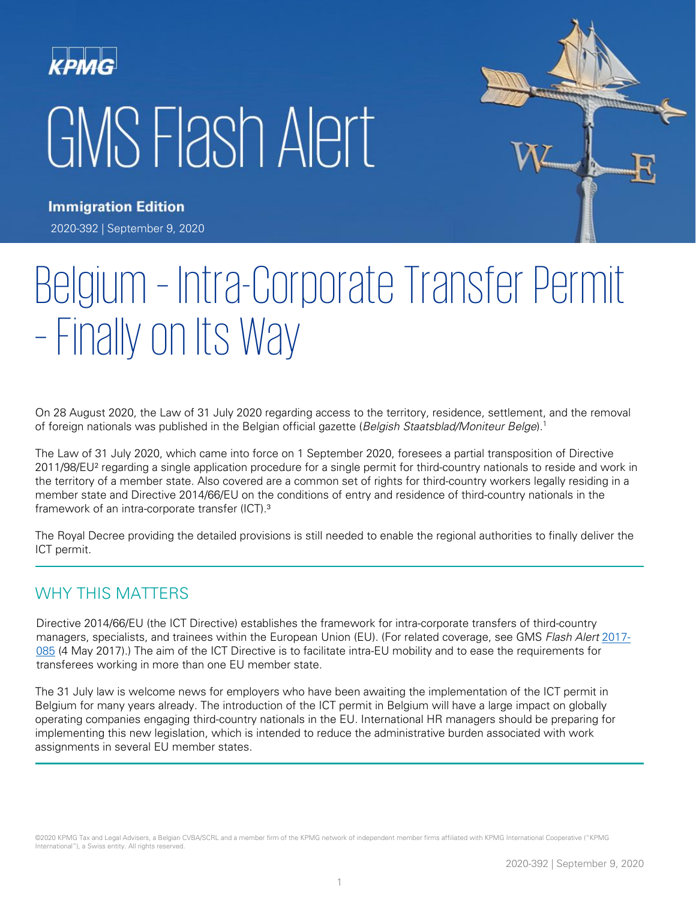# **KPMG** GMS Flash Alert



**Immigration Edition** 2020-392 | September 9, 2020

## Belgium – Intra-Corporate Transfer Permit – Finally on Its Way

On 28 August 2020, the Law of 31 July 2020 regarding access to the territory, residence, settlement, and the removal of foreign nationals was published in the Belgian official gazette (Belgish Staatsblad/Moniteur Belge).<sup>1</sup>

The Law of 31 July 2020, which came into force on 1 September 2020, foresees a partial transposition of Directive 2011/98/EU² regarding a single application procedure for a single permit for third-country nationals to reside and work in the territory of a member state. Also covered are a common set of rights for third-country workers legally residing in a member state and Directive 2014/66/EU on the conditions of entry and residence of third-country nationals in the framework of an intra-corporate transfer (ICT).<sup>3</sup>

The Royal Decree providing the detailed provisions is still needed to enable the regional authorities to finally deliver the ICT permit.

#### WHY THIS MATTERS

Directive 2014/66/EU (the ICT Directive) establishes the framework for intra-corporate transfers of third-country managers, specialists, and trainees within the European Union (EU). (For related coverage, see GMS Flash Alert [2017-](https://assets.kpmg/content/dam/kpmg/xx/pdf/2017/05/fa17-085.pdf) [085](https://assets.kpmg/content/dam/kpmg/xx/pdf/2017/05/fa17-085.pdf) (4 May 2017).) The aim of the ICT Directive is to facilitate intra-EU mobility and to ease the requirements for transferees working in more than one EU member state.

The 31 July law is welcome news for employers who have been awaiting the implementation of the ICT permit in Belgium for many years already. The introduction of the ICT permit in Belgium will have a large impact on globally operating companies engaging third-country nationals in the EU. International HR managers should be preparing for implementing this new legislation, which is intended to reduce the administrative burden associated with work assignments in several EU member states.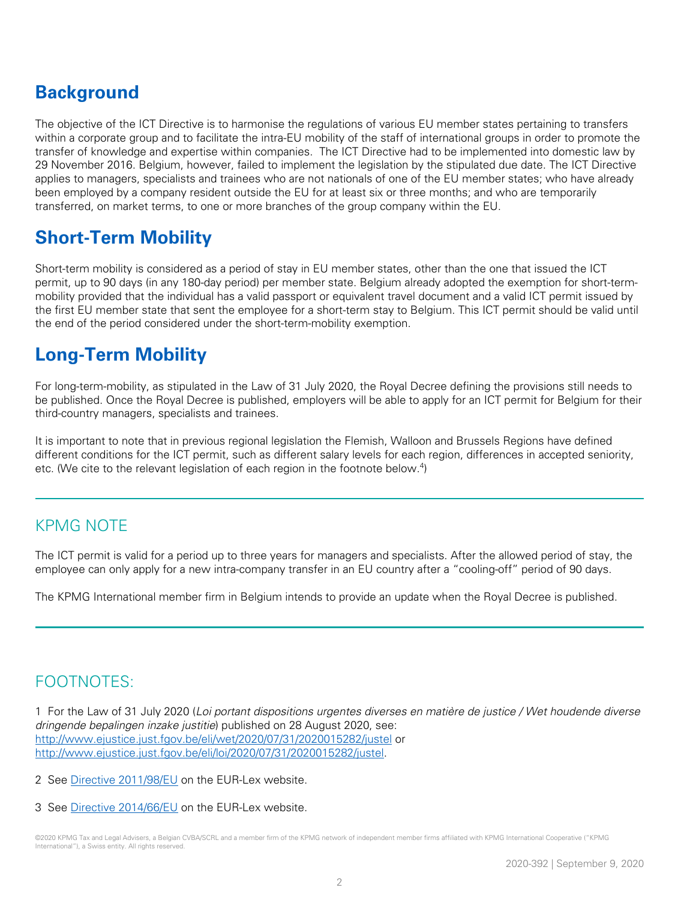## **Background**

The objective of the ICT Directive is to harmonise the regulations of various EU member states pertaining to transfers within a corporate group and to facilitate the intra-EU mobility of the staff of international groups in order to promote the transfer of knowledge and expertise within companies. The ICT Directive had to be implemented into domestic law by 29 November 2016. Belgium, however, failed to implement the legislation by the stipulated due date. The ICT Directive applies to managers, specialists and trainees who are not nationals of one of the EU member states; who have already been employed by a company resident outside the EU for at least six or three months; and who are temporarily transferred, on market terms, to one or more branches of the group company within the EU.

## **Short-Term Mobility**

Short-term mobility is considered as a period of stay in EU member states, other than the one that issued the ICT permit, up to 90 days (in any 180-day period) per member state. Belgium already adopted the exemption for short-termmobility provided that the individual has a valid passport or equivalent travel document and a valid ICT permit issued by the first EU member state that sent the employee for a short-term stay to Belgium. This ICT permit should be valid until the end of the period considered under the short-term-mobility exemption.

## **Long-Term Mobility**

For long-term-mobility, as stipulated in the Law of 31 July 2020, the Royal Decree defining the provisions still needs to be published. Once the Royal Decree is published, employers will be able to apply for an ICT permit for Belgium for their third-country managers, specialists and trainees.

It is important to note that in previous regional legislation the Flemish, Walloon and Brussels Regions have defined different conditions for the ICT permit, such as different salary levels for each region, differences in accepted seniority, etc. (We cite to the relevant legislation of each region in the footnote below.<sup>4</sup>)

#### KPMG NOTE

The ICT permit is valid for a period up to three years for managers and specialists. After the allowed period of stay, the employee can only apply for a new intra-company transfer in an EU country after a "cooling-off" period of 90 days.

The KPMG International member firm in Belgium intends to provide an update when the Royal Decree is published.

### FOOTNOTES:

1 For the Law of 31 July 2020 (Loi portant dispositions urgentes diverses en matière de justice / Wet houdende diverse dringende bepalingen inzake justitie) published on 28 August 2020, see: <http://www.ejustice.just.fgov.be/eli/wet/2020/07/31/2020015282/justel> or [http://www.ejustice.just.fgov.be/eli/loi/2020/07/31/2020015282/justel.](http://www.ejustice.just.fgov.be/eli/loi/2020/07/31/2020015282/justel)

2 See [Directive 2011/98/EU](https://eur-lex.europa.eu/legal-content/EN/ALL/?uri=CELEX%3A32011L0098) on the EUR-Lex website.

3 See [Directive 2014/66/EU](https://eur-lex.europa.eu/legal-content/EN/TXT/?uri=CELEX%3A32014L0066) on the EUR-Lex website.

<sup>©2020</sup> KPMG Tax and Legal Advisers, a Belgian CVBA/SCRL and a member firm of the KPMG network of independent member firms affiliated with KPMG International Cooperative ("KPMG International"), a Swiss entity. All rights reserved.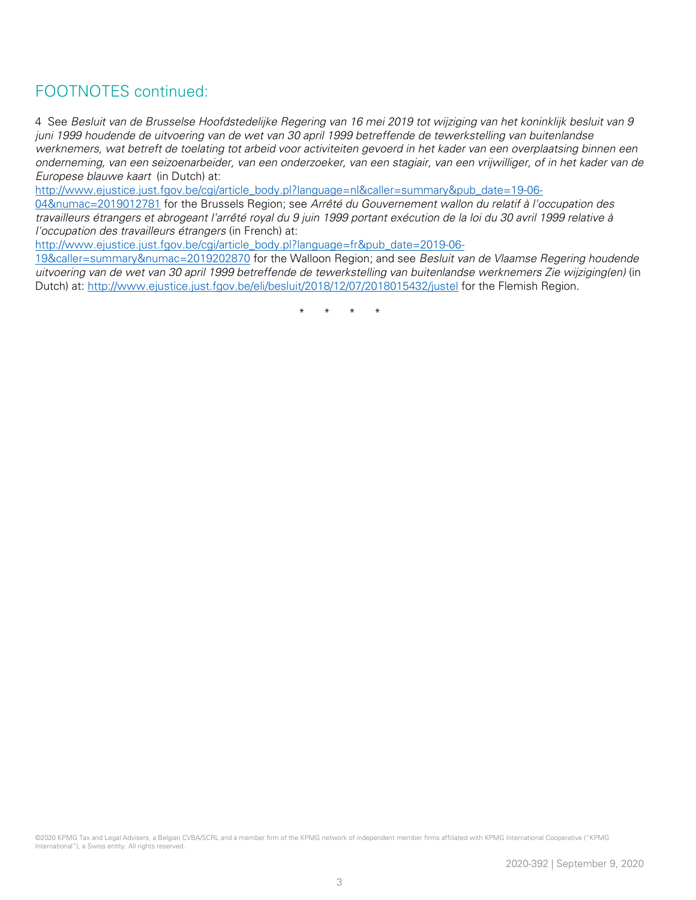#### FOOTNOTES continued:

4 See Besluit van de Brusselse Hoofdstedelijke Regering van 16 mei 2019 tot wijziging van het koninklijk besluit van 9 juni 1999 houdende de uitvoering van de wet van 30 april 1999 betreffende de tewerkstelling van buitenlandse werknemers, wat betreft de toelating tot arbeid voor activiteiten gevoerd in het kader van een overplaatsing binnen een onderneming, van een seizoenarbeider, van een onderzoeker, van een stagiair, van een vrijwilliger, of in het kader van de Europese blauwe kaart (in Dutch) at:

[http://www.ejustice.just.fgov.be/cgi/article\\_body.pl?language=nl&caller=summary&pub\\_date=19-06-](http://www.ejustice.just.fgov.be/cgi/article_body.pl?language=nl&caller=summary&pub_date=19-06-04&numac=2019012781)

[04&numac=2019012781](http://www.ejustice.just.fgov.be/cgi/article_body.pl?language=nl&caller=summary&pub_date=19-06-04&numac=2019012781) for the Brussels Region; see Arrêté du Gouvernement wallon du relatif à l'occupation des travailleurs étrangers et abrogeant l'arrêté royal du 9 juin 1999 portant exécution de la loi du 30 avril 1999 relative à l'occupation des travailleurs étrangers (in French) at:

[http://www.ejustice.just.fgov.be/cgi/article\\_body.pl?language=fr&pub\\_date=2019-06-](http://www.ejustice.just.fgov.be/cgi/article_body.pl?language=fr&pub_date=2019-06-19&caller=summary&numac=2019202870)

[19&caller=summary&numac=2019202870](http://www.ejustice.just.fgov.be/cgi/article_body.pl?language=fr&pub_date=2019-06-19&caller=summary&numac=2019202870) for the Walloon Region; and see Besluit van de Vlaamse Regering houdende uitvoering van de wet van 30 april 1999 betreffende de tewerkstelling van buitenlandse werknemers Zie wijziging(en) (in Dutch) at: <http://www.ejustice.just.fgov.be/eli/besluit/2018/12/07/2018015432/justel> for the Flemish Region.

\* \* \* \*